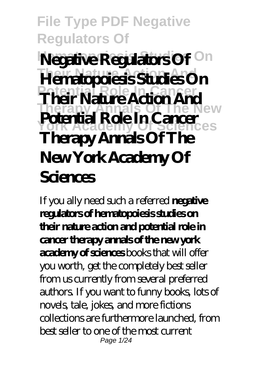**File Type PDF Negative Regulators Of Negative Regulators Of** On **Their Nature Action And Hematopoiesis Studies On Potential Role In Cancer Their Nature Action And Therapy Annals Of The New York Academy Of Sciences Potential Role In Cancer Therapy Annals Of The New York Academy Of Sciences**

If you ally need such a referred **negative regulators of hematopoiesis studies on their nature action and potential role in cancer therapy annals of the new york academy of sciences** books that will offer you worth, get the completely best seller from us currently from several preferred authors. If you want to funny books, lots of novels, tale, jokes, and more fictions collections are furthermore launched, from best seller to one of the most current Page 1/24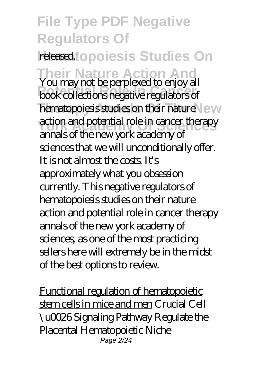**File Type PDF Negative Regulators Of Heased topoies is Studies On Their Nature Action And** You may not be perplexed to enjoy all **Potential Role In Cancer** book collections negative regulators of hematopoiesis studies on their nature New action and potential role in cancer therapy annals of the new york academy of sciences that we will unconditionally offer. It is not almost the costs. It's approximately what you obsession currently. This negative regulators of hematopoiesis studies on their nature action and potential role in cancer therapy annals of the new york academy of sciences, as one of the most practicing sellers here will extremely be in the midst of the best options to review.

Functional regulation of hematopoietic stem cells in mice and men Crucial Cell \u0026 Signaling Pathway Regulate the Placental Hematopoietic Niche Page 2/24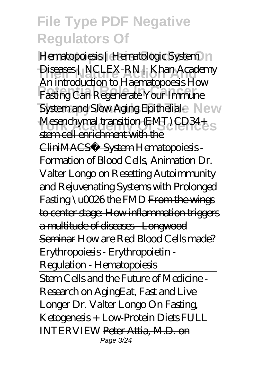Hematopoiesis | Hematologic System | | Diseases | NCLEX-RN | Khan Academy **Potential Role In Cancer** *Fasting Can Regenerate Your Immune System and Slow Aging Epithelial-* New *Mesenchymal transition (EMT)* CD34+ An introduction to Haematopoesis *How* stem cell enrichment with the CliniMACS® System *Hematopoiesis - Formation of Blood Cells, Animation Dr. Valter Longo on Resetting Autoimmunity and Rejuvenating Systems with Prolonged Fasting \u0026 the FMD* From the wings to center stage: How inflammation triggers a multitude of diseases - Longwood Seminar *How are Red Blood Cells made? Erythropoiesis - Erythropoietin - Regulation - Hematopoiesis* Stem Cells and the Future of Medicine - Research on Aging*Eat, Fast and Live Longer Dr. Valter Longo On Fasting, Ketogenesis + Low-Protein Diets FULL INTERVIEW* Peter Attia, M.D. on Page 3/24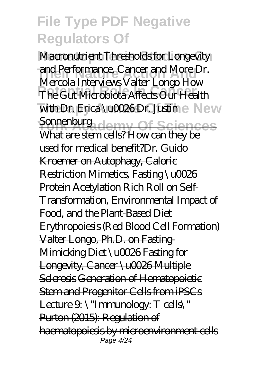**Macronutrient Thresholds for Longevity Their Nature Action And** and Performance, Cancer and More *Dr.* **Potential Role In Cancer** *The Gut Microbiota Affects Our Health with Dr. Erica \u0026Dr. Justin* e New **Sonnenburgademy Of Sciences** *Mercola Interviews Valter Longo How* What are stem cells? How can they be used for medical benefit?Dr. Guido Kroemer on Autophagy, Caloric Restriction Mimetics, Fasting \u0026 Protein Acetylation *Rich Roll on Self-Transformation, Environmental Impact of Food, and the Plant-Based Diet Erythropoiesis (Red Blood Cell Formation)* Valter Longo, Ph.D. on Fasting-Mimicking Diet \u0026 Fasting for Longevity, Cancer \u0026 Multiple Sclerosis Generation of Hematopoietic Stem and Progenitor Cells from iPSCs Lecture  $9 \vee$  "Immunology: T cells\" Purton (2015): Regulation of haematopoiesis by microenvironment cells Page 4/24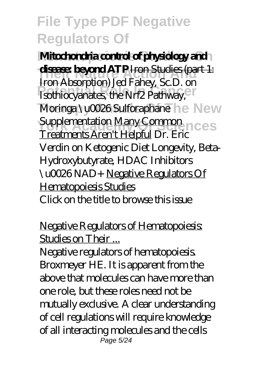**Mitochondria control of physiology and disease: beyond ATP** Iron Studies (part 1: **Potential Role In Cancer** *Isothiocyanates, the Nrf2 Pathway, Moringa \u0026 Sulforaphane* he New *Supplementation Many Common* Iron Absorption) *Jed Fahey, Sc.D. on* Treatments Aren't Helpful Dr. Eric Verdin on Ketogenic Diet Longevity, Beta-Hydroxybutyrate, HDAC Inhibitors \u0026 NAD+ Negative Regulators Of Hematopoiesis Studies Click on the title to browse this issue

Negative Regulators of Hematopoiesis: Studies on Their ...

Negative regulators of hematopoiesis. Broxmeyer HE. It is apparent from the above that molecules can have more than one role, but these roles need not be mutually exclusive. A clear understanding of cell regulations will require knowledge of all interacting molecules and the cells Page 5/24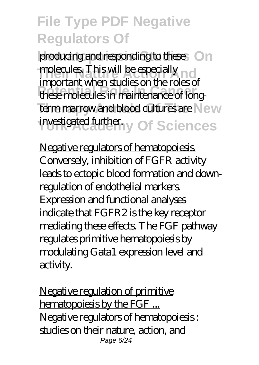producing and responding to these On molecules. This will be especially not **Potential Role In Cancer** these molecules in maintenance of longterm marrow and blood cultures are New investigated further. Of Sciences important when studies on the roles of

Negative regulators of hematopoiesis. Conversely, inhibition of FGFR activity leads to ectopic blood formation and downregulation of endothelial markers. Expression and functional analyses indicate that FGFR2 is the key receptor mediating these effects. The FGF pathway regulates primitive hematopoiesis by modulating Gata1 expression level and activity.

Negative regulation of primitive hematopoiesis by the FGF ... Negative regulators of hematopoiesis : studies on their nature, action, and Page 6/24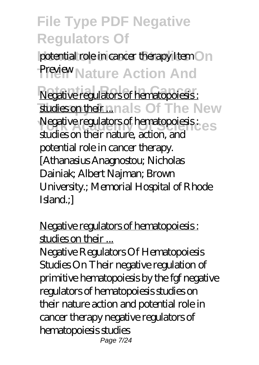potential role in cancer therapy Item On **Preview Nature Action And Negative regulators of hematopoiesis :** studies on their nals Of The New Negative regulators of hematopoiesis : es studies on their nature, action, and potential role in cancer therapy. [Athanasius Anagnostou; Nicholas Dainiak; Albert Najman; Brown University.; Memorial Hospital of Rhode Island.;]

Negative regulators of hematopoiesis : studies on their ...

Negative Regulators Of Hematopoiesis Studies On Their negative regulation of primitive hematopoiesis by the fgf negative regulators of hematopoiesis studies on their nature action and potential role in cancer therapy negative regulators of hematopoiesis studies Page 7/24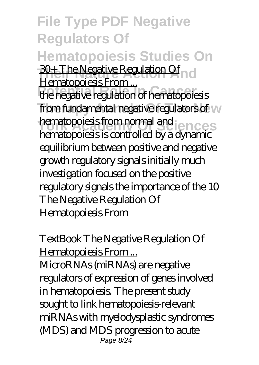**File Type PDF Negative Regulators Of Hematopoiesis Studies On 30+ The Negative Regulation Of** n d **Produce In Cancer**<br>the negative regulation of hematopoiesis from fundamental negative regulators of **W** hematopoiesis from normal and **ences** Hematopoiesis From... hematopoiesis is controlled by a dynamic equilibrium between positive and negative growth regulatory signals initially much investigation focused on the positive regulatory signals the importance of the 10 The Negative Regulation Of Hematopoiesis From

TextBook The Negative Regulation Of Hematopoiesis From ... MicroRNAs (miRNAs) are negative regulators of expression of genes involved in hematopoiesis. The present study sought to link hematopoiesis-relevant miRNAs with myelodysplastic syndromes (MDS) and MDS progression to acute Page 8/24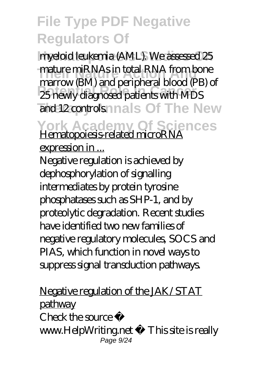**Hematopoiesis Studies On** myeloid leukemia (AML). We assessed 25 **The Mature miRNAs in total RNA from bone Potential Role In Cancer** 25 newly diagnosed patients with MDS and 12 controls nnals Of The New marrow (BM) and peripheral blood (PB) of

York Academy Of Sciences<br>
Hematopoiesis-related microRNA

expression in ...

Negative regulation is achieved by dephosphorylation of signalling intermediates by protein tyrosine phosphatases such as SHP-1, and by proteolytic degradation. Recent studies have identified two new families of negative regulatory molecules, SOCS and PIAS, which function in novel ways to suppress signal transduction pathways.

Negative regulation of the JAK/STAT pathway  $Chack$  the source www.HelpWriting.net This site is really Page 9/24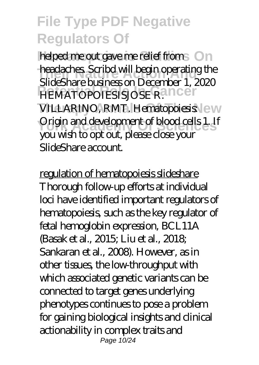helped me out gave me relief from **On Theadaches. Scribd will begin operating the PEMATOPOIESISJOSE R. ILCEN** VILLARINO, RMT. Hematopoiesis\ew **Origin and development of blood cells 1. If** SlideShare business on December 1, 2020 you wish to opt out, please close your SlideShare account.

regulation of hematopoiesis slideshare Thorough follow-up efforts at individual loci have identified important regulators of hematopoiesis, such as the key regulator of fetal hemoglobin expression, BCL11A (Basak et al., 2015; Liu et al., 2018; Sankaran et al., 2008). However, as in other tissues, the low-throughput with which associated genetic variants can be connected to target genes underlying phenotypes continues to pose a problem for gaining biological insights and clinical actionability in complex traits and Page 10/24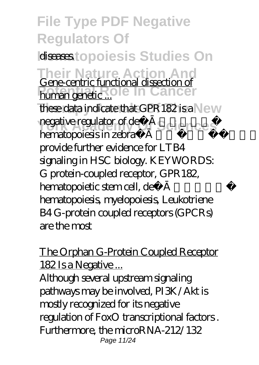**File Type PDF Negative Regulators Of diseases** topoies is Studies On **Their Nature Action And** Gene-centric functional dissection of **Pour and Role In Cancer** these data indicate that GPR182 is a New negative regulator of definitive regulator of definitive hematopoiesis in zebrafish and mice, and provide further evidence for LTB4 signaling in HSC biology. KEYWORDS: G protein-coupled receptor, GPR182, hematopoietic stem cell, definitive hematopoiesis, myelopoiesis, Leukotriene B4 G-protein coupled receptors (GPCRs) are the most

#### The Orphan G-Protein Coupled Receptor 182 Is a Negative ...

Although several upstream signaling pathways may be involved, PI3K/Akt is mostly recognized for its negative regulation of FoxO transcriptional factors . Furthermore, the microRNA-212/132 Page 11/24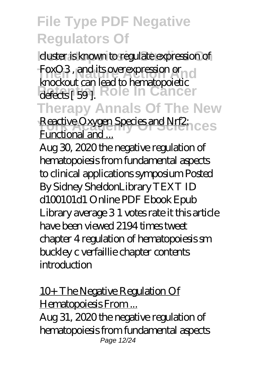duster is known to regulate expression of **FoxO3**, and its overexpression or all defects [ 59 ]. Role In Cancer **Therapy Annals Of The New** knockout can lead to hematopoietic

**Reactive Oxygen Species and Nrf2:** LCES Functional and ...

Aug 30, 2020 the negative regulation of hematopoiesis from fundamental aspects to clinical applications symposium Posted By Sidney SheldonLibrary TEXT ID d100101d1 Online PDF Ebook Epub Library average 3 1 votes rate it this article have been viewed 2194 times tweet chapter 4 regulation of hematopoiesis sm buckley c verfaillie chapter contents introduction

10+ The Negative Regulation Of Hematopoiesis From ... Aug 31, 2020 the negative regulation of hematopoiesis from fundamental aspects Page 12/24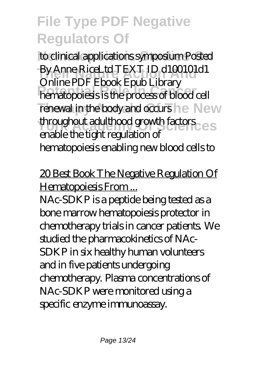to clinical applications symposium Posted **By Anne RiceLtd TEXT ID d100101d1 Potential Role In Cancer** hematopoiesis is the process of blood cell renewal in the body and occurs he New *Hooghout adulthood growth factors* Online PDF Ebook Epub Library enable the tight regulation of hematopoiesis enabling new blood cells to

20 Best Book The Negative Regulation Of Hematopoiesis From...

NAc-SDKP is a peptide being tested as a bone marrow hematopoiesis protector in chemotherapy trials in cancer patients. We studied the pharmacokinetics of NAc-SDKP in six healthy human volunteers and in five patients undergoing chemotherapy. Plasma concentrations of NAc-SDKP were monitored using a specific enzyme immunoassay.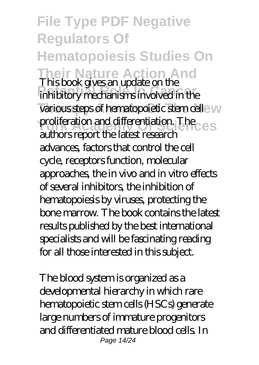**File Type PDF Negative Regulators Of Hematopoiesis Studies On Their Nature Action And** This book gives an update on the **Potential Role In Cancer** inhibitory mechanisms involved in the various steps of hematopoietic stem celle w **Proliferation and differentiation. The** authors report the latest research advances, factors that control the cell cycle, receptors function, molecular approaches, the in vivo and in vitro effects of several inhibitors, the inhibition of hematopoiesis by viruses, protecting the bone marrow. The book contains the latest results published by the best international specialists and will be fascinating reading for all those interested in this subject.

The blood system is organized as a developmental hierarchy in which rare hematopoietic stem cells (HSCs) generate large numbers of immature progenitors and differentiated mature blood cells. In Page 14/24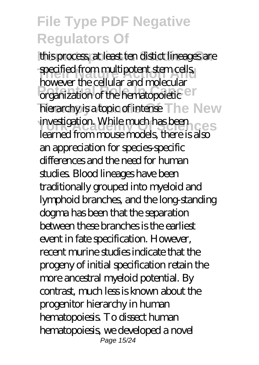this process, at least ten distict lineages are **The Specified from multipotent stem cells Provide the Candida Canadidate** hierarchy is a topic of intense The New investigation. While much has been however the cellular and molecular learned from mouse models, there is also an appreciation for species-specific differences and the need for human studies. Blood lineages have been traditionally grouped into myeloid and lymphoid branches, and the long-standing dogma has been that the separation between these branches is the earliest event in fate specification. However, recent murine studies indicate that the progeny of initial specification retain the more ancestral myeloid potential. By contrast, much less is known about the progenitor hierarchy in human hematopoiesis. To dissect human hematopoiesis, we developed a novel Page 15/24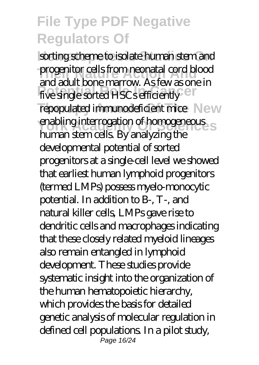sorting scheme to isolate human stem and **progenitor cells from neonatal cord blood** five single sorted HSCs efficiently <sup>en</sup> repopulated immunodeficient mice New **York Academy Of Sciences** and adult bone marrow. As few as one in human stem cells. By analyzing the developmental potential of sorted progenitors at a single-cell level we showed that earliest human lymphoid progenitors (termed LMPs) possess myelo-monocytic potential. In addition to B-, T-, and natural killer cells, LMPs gave rise to dendritic cells and macrophages indicating that these closely related myeloid lineages also remain entangled in lymphoid development. These studies provide systematic insight into the organization of the human hematopoietic hierarchy, which provides the basis for detailed genetic analysis of molecular regulation in defined cell populations. In a pilot study, Page 16/24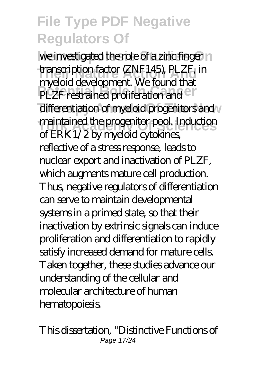we investigated the role of a zinc finger no **The internation factor (ZNF145), PLZF, in**<br>transcription factor (*M<sub>c</sub>* formulated **PLZF restrained proliferation and CT** differentiation of myeloid progenitors and *<u>Yourk Academy Of Science</u>s Academy of Sciences* **and the progenitor pool. Induction** myeloid development. We found that of ERK1/2 by myeloid cytokines, reflective of a stress response, leads to nuclear export and inactivation of PLZF, which augments mature cell production. Thus, negative regulators of differentiation can serve to maintain developmental systems in a primed state, so that their inactivation by extrinsic signals can induce proliferation and differentiation to rapidly satisfy increased demand for mature cells. Taken together, these studies advance our understanding of the cellular and molecular architecture of human hematopoiesis.

This dissertation, "Distinctive Functions of Page 17/24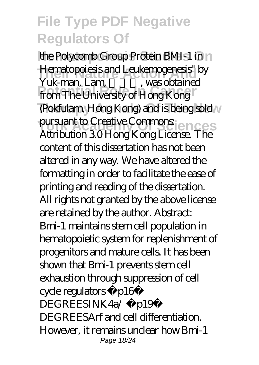the Polycomb Group Protein BMI-1 in **Their Theoretics** and Leukemogenesis" by **Potential Role In Cancer** from The University of Hong Kong (Pokfulam, Hong Kong) and is being sold pursuant to Creative Commons:<br>
Attack the COU was V and the CRES Yuk-man, Lam, was obtained Attribution 3.0 Hong Kong License. The content of this dissertation has not been altered in any way. We have altered the formatting in order to facilitate the ease of printing and reading of the dissertation. All rights not granted by the above license are retained by the author. Abstract: Bmi-1 maintains stem cell population in hematopoietic system for replenishment of progenitors and mature cells. It has been shown that Bmi-1 prevents stem cell exhaustion through suppression of cell cycle regulators p16 DEGREESINK4a/ p19 DEGREESArf and cell differentiation. However, it remains unclear how Bmi-1 Page 18/24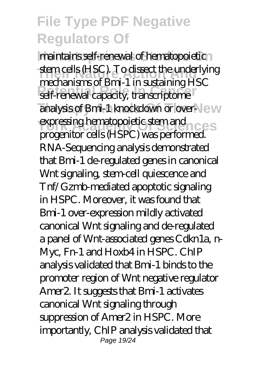maintains self-renewal of hematopoietic **The induced Stem cells (HSC). To dissect the underlying Potential Role In Cancer** self-renewal capacity, transcriptome analysis of Bmi-1 knockdown or over-New expressing hematopoietic stem and mechanisms of Bmi-1 in sustaining HSC progenitor cells (HSPC) was performed. RNA-Sequencing analysis demonstrated that Bmi-1 de-regulated genes in canonical Wnt signaling, stem-cell quiescence and Tnf/Gzmb-mediated apoptotic signaling in HSPC. Moreover, it was found that Bmi-1 over-expression mildly activated canonical Wnt signaling and de-regulated a panel of Wnt-associated genes Cdkn1a, n-Myc, Fn-1 and Hoxb4 in HSPC. ChIP analysis validated that Bmi-1 binds to the promoter region of Wnt negative regulator Amer2. It suggests that Bmi-1 activates canonical Wnt signaling through suppression of Amer2 in HSPC. More importantly, ChIP analysis validated that Page 19/24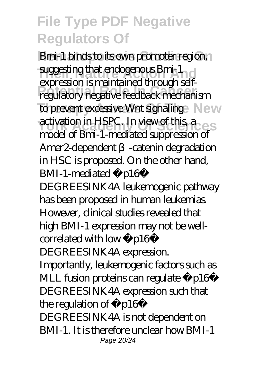**Bmi-1 binds to its own promoter region, suggesting that endogenous Bmi-1 Potential Role In Cancer** regulatory negative feedback mechanism to prevent excessive Wnt signaling New activation in HSPC. In view of this a expression is maintained through selfmodel of Bmi-1-mediated suppression of Amer2-dependent -catenin degradation in HSC is proposed. On the other hand, BMI-1-mediated p16 DEGREESINK4A leukemogenic pathway has been proposed in human leukemias. However, clinical studies revealed that high BMI-1 expression may not be wellcorrelated with low p16 DEGREESINK4A expression. Importantly, leukemogenic factors such as MLL fusion proteins can regulate p16 DEGREESINK4A expression such that the regulation of p16 DEGREESINK4A is not dependent on BMI-1. It is therefore unclear how BMI-1 Page 20/24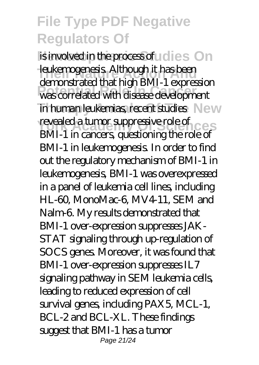is involved in the process of uldies On **Their Nature Action Action**<br>Leukemogenesis. Although it has been **Potential Role In Cancer** was correlated with disease development in human leukemias, recent studies New revealed a tumor suppressive role of demonstrated that high BMI-1 expression BMI-1 in cancers, questioning the role of BMI-1 in leukemogenesis. In order to find out the regulatory mechanism of BMI-1 in leukemogenesis, BMI-1 was overexpressed in a panel of leukemia cell lines, including HL-60, MonoMac-6, MV4-11, SEM and Nalm-6. My results demonstrated that BMI-1 over-expression suppresses JAK-STAT signaling through up-regulation of SOCS genes. Moreover, it was found that BMI-1 over-expression suppresses IL7 signaling pathway in SEM leukemia cells, leading to reduced expression of cell survival genes, including PAX5, MCL-1, BCL-2 and BCL-XL. These findings suggest that BMI-1 has a tumor Page 21/24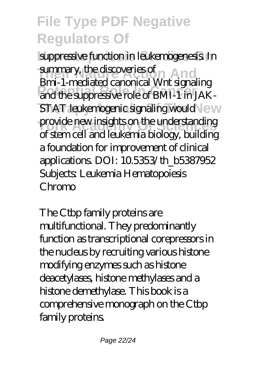suppressive function in leukemogenesis. In summary, the discoveries of **And Potential Role In Cancer** and the suppressive role of BMI-1 in JAK-**STAT leukemogenic signaling would \ew** provide new insights on the understanding Bmi-1-mediated canonical Wnt signaling of stem cell and leukemia biology, building a foundation for improvement of clinical applications. DOI: 10.5353/th\_b5387952 Subjects: Leukemia Hematopoiesis Chromo

The Ctbp family proteins are multifunctional. They predominantly function as transcriptional corepressors in the nucleus by recruiting various histone modifying enzymes such as histone deacetylases, histone methylases and a histone demethylase. This book is a comprehensive monograph on the Ctbp family proteins.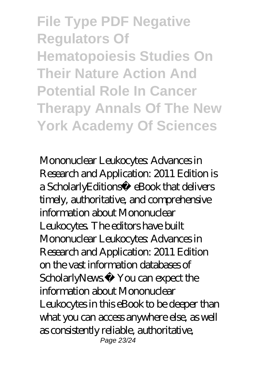**File Type PDF Negative Regulators Of Hematopoiesis Studies On Their Nature Action And Potential Role In Cancer Therapy Annals Of The New York Academy Of Sciences**

Mononuclear Leukocytes: Advances in Research and Application: 2011 Edition is a ScholarlyEditions™ eBook that delivers timely, authoritative, and comprehensive information about Mononuclear Leukocytes. The editors have built Mononuclear Leukocytes Advances in Research and Application: 2011 Edition on the vast information databases of ScholarlyNews<sup>™</sup> You can expect the information about Mononuclear Leukocytes in this eBook to be deeper than what you can access anywhere else, as well as consistently reliable, authoritative, Page 23/24